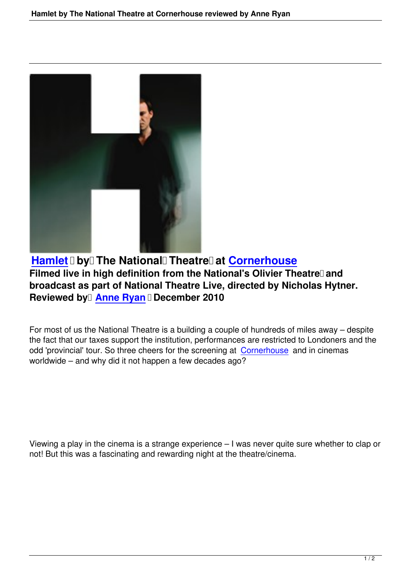

Hamlet **Digit The National Theatre at Cornerhouse** Filmed live in high definition from the National's Olivier Theatre<sup>[]</sup> and **broadcast as part of National Theatre Live, [directed by Nich](http://www.cornerhouse.org/)olas Hytner. [Reviewed](hamlet-national-theatre-cornerhouse.html) by Anne Ryan** December 2010

For most of us th[e National Thea](writers.html#anne-ryan)tre is a building a couple of hundreds of miles away – despite the fact that our taxes support the institution, performances are restricted to Londoners and the odd 'provincial' tour. So three cheers for the screening at Cornerhouse and in cinemas worldwide – and why did it not happen a few decades ago?

Viewing a play in the cinema is a strange experience – I was never quite sure whether to clap or not! But this was a fascinating and rewarding night at the theatre/cinema.